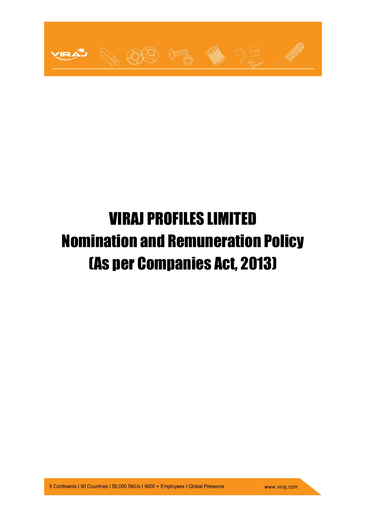

# VIRAJ PROFILES LIMITED Nomination and Remuneration Policy (As per Companies Act, 2013)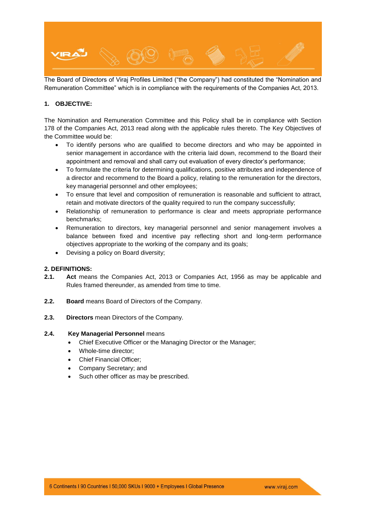

The Board of Directors of Viraj Profiles Limited ("the Company") had constituted the "Nomination and Remuneration Committee" which is in compliance with the requirements of the Companies Act, 2013.

# **1. OBJECTIVE:**

The Nomination and Remuneration Committee and this Policy shall be in compliance with Section 178 of the Companies Act, 2013 read along with the applicable rules thereto. The Key Objectives of the Committee would be:

- To identify persons who are qualified to become directors and who may be appointed in senior management in accordance with the criteria laid down, recommend to the Board their appointment and removal and shall carry out evaluation of every director's performance;
- To formulate the criteria for determining qualifications, positive attributes and independence of a director and recommend to the Board a policy, relating to the remuneration for the directors, key managerial personnel and other employees;
- To ensure that level and composition of remuneration is reasonable and sufficient to attract, retain and motivate directors of the quality required to run the company successfully;
- Relationship of remuneration to performance is clear and meets appropriate performance benchmarks;
- Remuneration to directors, key managerial personnel and senior management involves a balance between fixed and incentive pay reflecting short and long-term performance objectives appropriate to the working of the company and its goals;
- Devising a policy on Board diversity;

# **2. DEFINITIONS:**

- **2.1. Act** means the Companies Act, 2013 or Companies Act, 1956 as may be applicable and Rules framed thereunder, as amended from time to time.
- **2.2. Board** means Board of Directors of the Company.
- **2.3. Directors** mean Directors of the Company.

#### **2.4. Key Managerial Personnel** means

- Chief Executive Officer or the Managing Director or the Manager;
- Whole-time director;
- Chief Financial Officer;
- Company Secretary; and
- Such other officer as may be prescribed.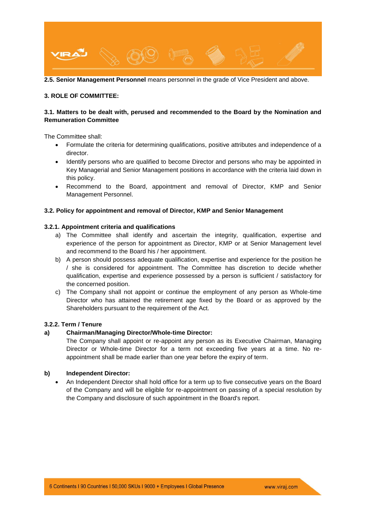

**2.5. Senior Management Personnel** means personnel in the grade of Vice President and above.

#### **3. ROLE OF COMMITTEE:**

# **3.1. Matters to be dealt with, perused and recommended to the Board by the Nomination and Remuneration Committee**

The Committee shall:

- Formulate the criteria for determining qualifications, positive attributes and independence of a director.
- Identify persons who are qualified to become Director and persons who may be appointed in Key Managerial and Senior Management positions in accordance with the criteria laid down in this policy.
- Recommend to the Board, appointment and removal of Director, KMP and Senior Management Personnel.

## **3.2. Policy for appointment and removal of Director, KMP and Senior Management**

## **3.2.1. Appointment criteria and qualifications**

- a) The Committee shall identify and ascertain the integrity, qualification, expertise and experience of the person for appointment as Director, KMP or at Senior Management level and recommend to the Board his / her appointment.
- b) A person should possess adequate qualification, expertise and experience for the position he / she is considered for appointment. The Committee has discretion to decide whether qualification, expertise and experience possessed by a person is sufficient / satisfactory for the concerned position.
- c) The Company shall not appoint or continue the employment of any person as Whole-time Director who has attained the retirement age fixed by the Board or as approved by the Shareholders pursuant to the requirement of the Act.

# **3.2.2. Term / Tenure**

# **a) Chairman/Managing Director/Whole-time Director:**

The Company shall appoint or re-appoint any person as its Executive Chairman, Managing Director or Whole-time Director for a term not exceeding five years at a time. No reappointment shall be made earlier than one year before the expiry of term.

# **b) Independent Director:**

 An Independent Director shall hold office for a term up to five consecutive years on the Board of the Company and will be eligible for re-appointment on passing of a special resolution by the Company and disclosure of such appointment in the Board's report.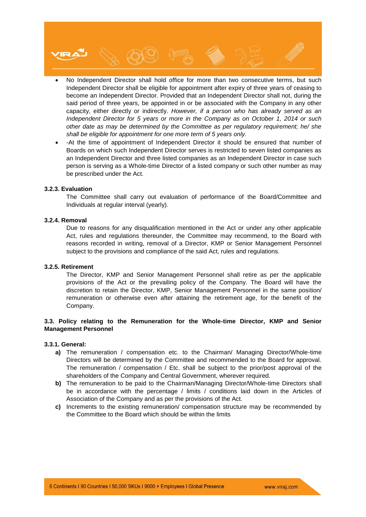

- No Independent Director shall hold office for more than two consecutive terms, but such Independent Director shall be eligible for appointment after expiry of three years of ceasing to become an Independent Director. Provided that an Independent Director shall not, during the said period of three years, be appointed in or be associated with the Company in any other capacity, either directly or indirectly. *However, if a person who has already served as an Independent Director for 5 years or more in the Company as on October 1, 2014 or such other date as may be determined by the Committee as per regulatory requirement; he/ she shall be eligible for appointment for one more term of 5 years only.*
- -At the time of appointment of Independent Director it should be ensured that number of Boards on which such Independent Director serves is restricted to seven listed companies as an Independent Director and three listed companies as an Independent Director in case such person is serving as a Whole-time Director of a listed company or such other number as may be prescribed under the Act.

#### **3.2.3. Evaluation**

The Committee shall carry out evaluation of performance of the Board/Committee and Individuals at regular interval (yearly).

#### **3.2.4. Removal**

Due to reasons for any disqualification mentioned in the Act or under any other applicable Act, rules and regulations thereunder, the Committee may recommend, to the Board with reasons recorded in writing, removal of a Director, KMP or Senior Management Personnel subject to the provisions and compliance of the said Act, rules and regulations.

#### **3.2.5. Retirement**

The Director, KMP and Senior Management Personnel shall retire as per the applicable provisions of the Act or the prevailing policy of the Company. The Board will have the discretion to retain the Director, KMP, Senior Management Personnel in the same position/ remuneration or otherwise even after attaining the retirement age, for the benefit of the Company.

# **3.3. Policy relating to the Remuneration for the Whole-time Director, KMP and Senior Management Personnel**

#### **3.3.1. General:**

- **a)** The remuneration / compensation etc. to the Chairman/ Managing Director/Whole-time Directors will be determined by the Committee and recommended to the Board for approval. The remuneration / compensation / Etc. shall be subject to the prior/post approval of the shareholders of the Company and Central Government, wherever required.
- **b)** The remuneration to be paid to the Chairman/Managing Director/Whole-time Directors shall be in accordance with the percentage / limits / conditions laid down in the Articles of Association of the Company and as per the provisions of the Act.
- **c)** Increments to the existing remuneration/ compensation structure may be recommended by the Committee to the Board which should be within the limits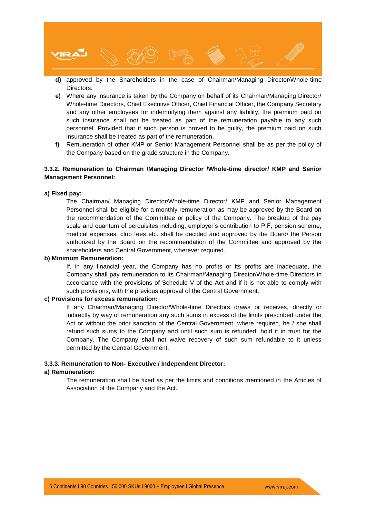

- **d)** approved by the Shareholders in the case of Chairman/Managing Director/Whole-time Directors.
- **e)** Where any insurance is taken by the Company on behalf of its Chairman/Managing Director/ Whole-time Directors, Chief Executive Officer, Chief Financial Officer, the Company Secretary and any other employees for indemnifying them against any liability, the premium paid on such insurance shall not be treated as part of the remuneration payable to any such personnel. Provided that if such person is proved to be guilty, the premium paid on such insurance shall be treated as part of the remuneration.
- **f)** Remuneration of other KMP or Senior Management Personnel shall be as per the policy of the Company based on the grade structure in the Company.

# **3.3.2. Remuneration to Chairman /Managing Director /Whole-time director/ KMP and Senior Management Personnel:**

## **a) Fixed pay:**

The Chairman/ Managing Director/Whole-time Director/ KMP and Senior Management Personnel shall be eligible for a monthly remuneration as may be approved by the Board on the recommendation of the Committee or policy of the Company. The breakup of the pay scale and quantum of perquisites including, employer's contribution to P.F, pension scheme, medical expenses, club fees etc. shall be decided and approved by the Board/ the Person authorized by the Board on the recommendation of the Committee and approved by the shareholders and Central Government, wherever required.

#### **b) Minimum Remuneration:**

If, in any financial year, the Company has no profits or its profits are inadequate, the Company shall pay remuneration to its Chairman/Managing Director/Whole-time Directors in accordance with the provisions of Schedule V of the Act and if it is not able to comply with such provisions, with the previous approval of the Central Government.

#### **c) Provisions for excess remuneration:**

If any Chairman/Managing Director/Whole-time Directors draws or receives, directly or indirectly by way of remuneration any such sums in excess of the limits prescribed under the Act or without the prior sanction of the Central Government, where required, he / she shall refund such sums to the Company and until such sum is refunded, hold it in trust for the Company. The Company shall not waive recovery of such sum refundable to it unless permitted by the Central Government.

#### **3.3.3. Remuneration to Non- Executive / Independent Director:**

#### **a) Remuneration:**

The remuneration shall be fixed as per the limits and conditions mentioned in the Articles of Association of the Company and the Act.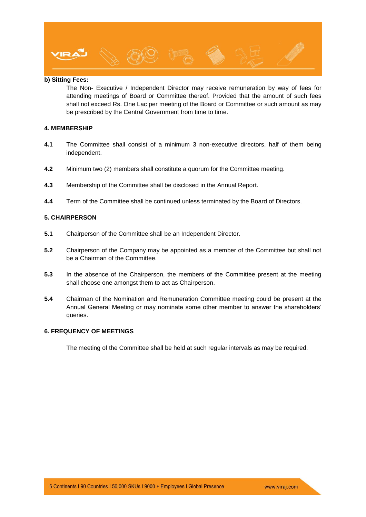

# **b) Sitting Fees:**

The Non- Executive / Independent Director may receive remuneration by way of fees for attending meetings of Board or Committee thereof. Provided that the amount of such fees shall not exceed Rs. One Lac per meeting of the Board or Committee or such amount as may be prescribed by the Central Government from time to time.

## **4. MEMBERSHIP**

- **4.1** The Committee shall consist of a minimum 3 non-executive directors, half of them being independent.
- **4.2** Minimum two (2) members shall constitute a quorum for the Committee meeting.
- **4.3** Membership of the Committee shall be disclosed in the Annual Report.
- **4.4** Term of the Committee shall be continued unless terminated by the Board of Directors.

# **5. CHAIRPERSON**

- **5.1** Chairperson of the Committee shall be an Independent Director.
- **5.2** Chairperson of the Company may be appointed as a member of the Committee but shall not be a Chairman of the Committee.
- **5.3** In the absence of the Chairperson, the members of the Committee present at the meeting shall choose one amongst them to act as Chairperson.
- **5.4** Chairman of the Nomination and Remuneration Committee meeting could be present at the Annual General Meeting or may nominate some other member to answer the shareholders' queries.

# **6. FREQUENCY OF MEETINGS**

The meeting of the Committee shall be held at such regular intervals as may be required.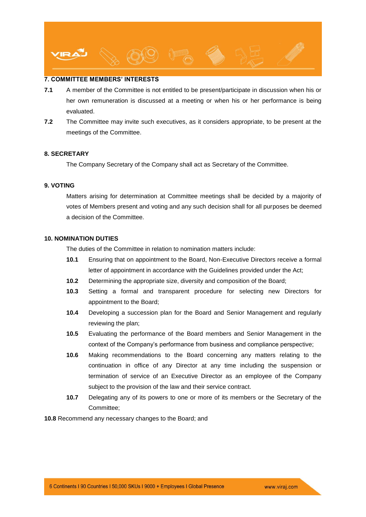

# **7. COMMITTEE MEMBERS' INTERESTS**

- **7.1** A member of the Committee is not entitled to be present/participate in discussion when his or her own remuneration is discussed at a meeting or when his or her performance is being evaluated.
- **7.2** The Committee may invite such executives, as it considers appropriate, to be present at the meetings of the Committee.

## **8. SECRETARY**

The Company Secretary of the Company shall act as Secretary of the Committee.

# **9. VOTING**

Matters arising for determination at Committee meetings shall be decided by a majority of votes of Members present and voting and any such decision shall for all purposes be deemed a decision of the Committee.

# **10. NOMINATION DUTIES**

The duties of the Committee in relation to nomination matters include:

- **10.1** Ensuring that on appointment to the Board, Non-Executive Directors receive a formal letter of appointment in accordance with the Guidelines provided under the Act;
- **10.2** Determining the appropriate size, diversity and composition of the Board;
- **10.3** Setting a formal and transparent procedure for selecting new Directors for appointment to the Board;
- **10.4** Developing a succession plan for the Board and Senior Management and regularly reviewing the plan;
- **10.5** Evaluating the performance of the Board members and Senior Management in the context of the Company's performance from business and compliance perspective;
- **10.6** Making recommendations to the Board concerning any matters relating to the continuation in office of any Director at any time including the suspension or termination of service of an Executive Director as an employee of the Company subject to the provision of the law and their service contract.
- **10.7** Delegating any of its powers to one or more of its members or the Secretary of the Committee;

**10.8** Recommend any necessary changes to the Board; and